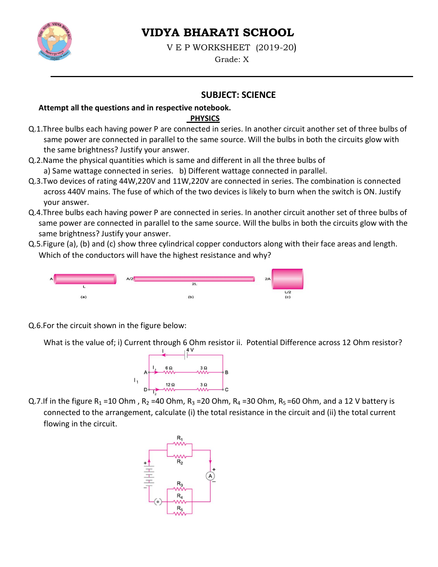

# **VIDYA BHARATI SCHOOL**

V E P WORKSHEET (2019-20)

Grade: X

# **SUBJECT: SCIENCE**

#### Attempt all the questions and in respective notebook.

### **PHYSICS**

- Q.1. Three bulbs each having power P are connected in series. In another circuit another set of three bulbs of same power are connected in parallel to the same source. Will the bulbs in both the circuits glow with the same brightness? Justify your answer.
- Q.2. Name the physical quantities which is same and different in all the three bulbs of a) Same wattage connected in series. b) Different wattage connected in parallel.
- Q.3. Two devices of rating 44W, 220V and 11W, 220V are connected in series. The combination is connected across 440V mains. The fuse of which of the two devices is likely to burn when the switch is ON. Justify your answer.
- Q.4. Three bulbs each having power P are connected in series. In another circuit another set of three bulbs of same power are connected in parallel to the same source. Will the bulbs in both the circuits glow with the same brightness? Justify your answer.
- Q.5. Figure (a), (b) and (c) show three cylindrical copper conductors along with their face areas and length. Which of the conductors will have the highest resistance and why?



Q.6.For the circuit shown in the figure below:

What is the value of; i) Current through 6 Ohm resistor ii. Potential Difference across 12 Ohm resistor?



Q.7.If in the figure R<sub>1</sub> = 10 Ohm, R<sub>2</sub> = 40 Ohm, R<sub>3</sub> = 20 Ohm, R<sub>4</sub> = 30 Ohm, R<sub>5</sub> = 60 Ohm, and a 12 V battery is connected to the arrangement, calculate (i) the total resistance in the circuit and (ii) the total current flowing in the circuit.

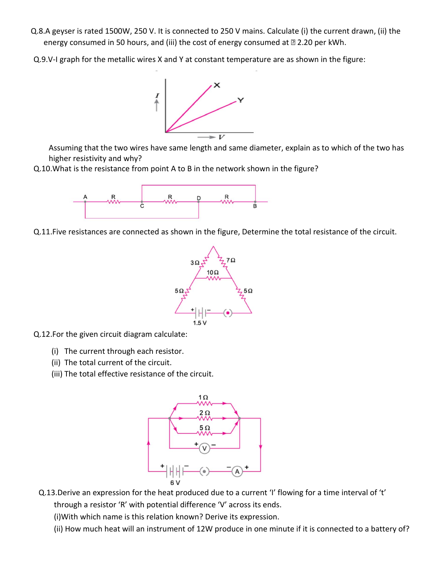- Q.8.A geyser is rated 1500W, 250 V. It is connected to 250 V mains. Calculate (i) the current drawn, (ii) the energy consumed in 50 hours, and (iii) the cost of energy consumed at 2.20 per kWh.
- Q.9.V-I graph for the metallic wires X and Y at constant temperature are as shown in the figure:



Assuming that the two wires have same length and same diameter, explain as to which of the two has higher resistivity and why?

Q.10. What is the resistance from point A to B in the network shown in the figure?



Q.11. Five resistances are connected as shown in the figure, Determine the total resistance of the circuit.



- Q.12.For the given circuit diagram calculate:
	- (i) The current through each resistor.
	- (ii) The total current of the circuit.
	- (iii) The total effective resistance of the circuit.



Q.13. Derive an expression for the heat produced due to a current 'I' flowing for a time interval of 't' through a resistor 'R' with potential difference 'V' across its ends.

(i) With which name is this relation known? Derive its expression.

(ii) How much heat will an instrument of 12W produce in one minute if it is connected to a battery of?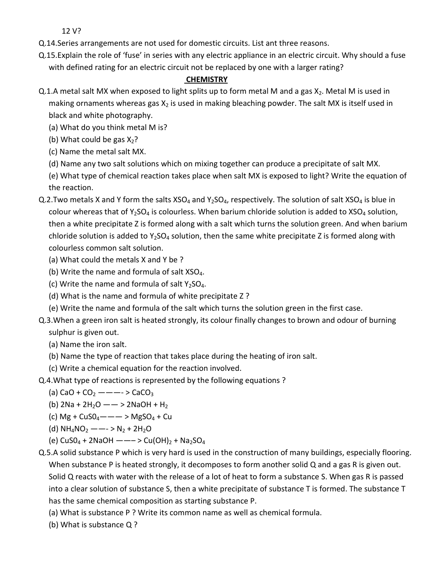12 V?

- Q.14. Series arrangements are not used for domestic circuits. List ant three reasons.
- Q.15. Explain the role of 'fuse' in series with any electric appliance in an electric circuit. Why should a fuse with defined rating for an electric circuit not be replaced by one with a larger rating?

#### **CHEMISTRY**

- Q.1.A metal salt MX when exposed to light splits up to form metal M and a gas  $X_2$ . Metal M is used in making ornaments whereas gas  $X_2$  is used in making bleaching powder. The salt MX is itself used in black and white photography.
	- (a) What do you think metal M is?
	- (b) What could be gas  $X_2$ ?
	- (c) Name the metal salt MX.
	- (d) Name any two salt solutions which on mixing together can produce a precipitate of salt MX.
	- (e) What type of chemical reaction takes place when salt MX is exposed to light? Write the equation of the reaction.
- Q.2. Two metals X and Y form the salts XSO<sub>4</sub> and Y<sub>2</sub>SO<sub>4</sub>, respectively. The solution of salt XSO<sub>4</sub> is blue in colour whereas that of  $Y_2SO_4$  is colourless. When barium chloride solution is added to  $XSO_4$  solution, then a white precipitate Z is formed along with a salt which turns the solution green. And when barium chloride solution is added to  $Y_2SO_4$  solution, then the same white precipitate Z is formed along with colourless common salt solution.
	- (a) What could the metals X and Y be ?
	- (b) Write the name and formula of salt XSO<sub>4</sub>.
	- (c) Write the name and formula of salt  $Y_2SO_4$ .
	- (d) What is the name and formula of white precipitate Z?
	- (e) Write the name and formula of the salt which turns the solution green in the first case.
- Q.3. When a green iron salt is heated strongly, its colour finally changes to brown and odour of burning sulphur is given out.
	- (a) Name the iron salt.
	- (b) Name the type of reaction that takes place during the heating of iron salt.
	- (c) Write a chemical equation for the reaction involved.
- Q.4. What type of reactions is represented by the following equations?
	- (a) CaO + CO<sub>2</sub> - - > CaCO<sub>3</sub>
	- (b)  $2Na + 2H_2O \rightarrow 2NaOH + H_2$
	- (c) Mg +  $CuSO_4$  —  $\rightarrow$  MgSO<sub>4</sub> + Cu
	- (d)  $NH_4NO_2$  --->  $N_2$  + 2H<sub>2</sub>O
	- (e)  $CuSO_4 + 2NaOH$  --->  $Cu(OH)_2 + Na_2SO_4$
- Q.5.A solid substance P which is very hard is used in the construction of many buildings, especially flooring. When substance P is heated strongly, it decomposes to form another solid Q and a gas R is given out. Solid Q reacts with water with the release of a lot of heat to form a substance S. When gas R is passed into a clear solution of substance S, then a white precipitate of substance T is formed. The substance T has the same chemical composition as starting substance P.
	- (a) What is substance P? Write its common name as well as chemical formula.
	- (b) What is substance Q?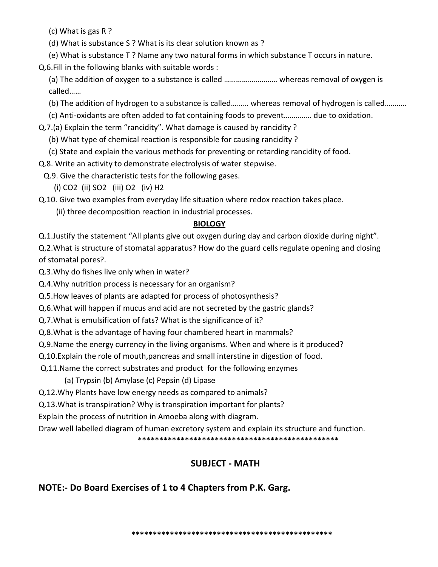(c) What is gas R ?

- (d) What is substance S ? What is its clear solution known as ?
- (e) What is substance T? Name any two natural forms in which substance T occurs in nature.
- Q.6.Fill in the following blanks with suitable words :
	- (a) The addition of oxygen to a substance is called .................................. whereas removal of oxygen is called......

(b) The addition of hydrogen to a substance is called......... whereas removal of hydrogen is called..........

- (c) Anti-oxidants are often added to fat containing foods to prevent............... due to oxidation.
- Q.7.(a) Explain the term "rancidity". What damage is caused by rancidity ?
	- (b) What type of chemical reaction is responsible for causing rancidity?
	- (c) State and explain the various methods for preventing or retarding rancidity of food.
- Q.8. Write an activity to demonstrate electrolysis of water stepwise.
- Q.9. Give the characteristic tests for the following gases.
	- (i) CO2 (ii) SO2 (iii) O2 (iv) H2
- Q.10. Give two examples from everyday life situation where redox reaction takes place.
	- (ii) three decomposition reaction in industrial processes.

# **BIOLOGY**

Q.1. Justify the statement "All plants give out oxygen during day and carbon dioxide during night".

Q.2. What is structure of stomatal apparatus? How do the guard cells regulate opening and closing of stomatal pores?.

Q.3. Why do fishes live only when in water?

- Q.4. Why nutrition process is necessary for an organism?
- Q.5. How leaves of plants are adapted for process of photosynthesis?
- Q.6. What will happen if mucus and acid are not secreted by the gastric glands?
- Q.7. What is emulsification of fats? What is the significance of it?
- Q.8. What is the advantage of having four chambered heart in mammals?
- Q.9. Name the energy currency in the living organisms. When and where is it produced?
- Q.10. Explain the role of mouth, pancreas and small interstine in digestion of food.
- Q.11. Name the correct substrates and product for the following enzymes
	- (a) Trypsin (b) Amylase (c) Pepsin (d) Lipase
- Q.12. Why Plants have low energy needs as compared to animals?
- Q.13. What is transpiration? Why is transpiration important for plants?
- Explain the process of nutrition in Amoeba along with diagram.
- Draw well labelled diagram of human excretory system and explain its structure and function.

# **SUBJECT - MATH**

# NOTE:- Do Board Exercises of 1 to 4 Chapters from P.K. Garg.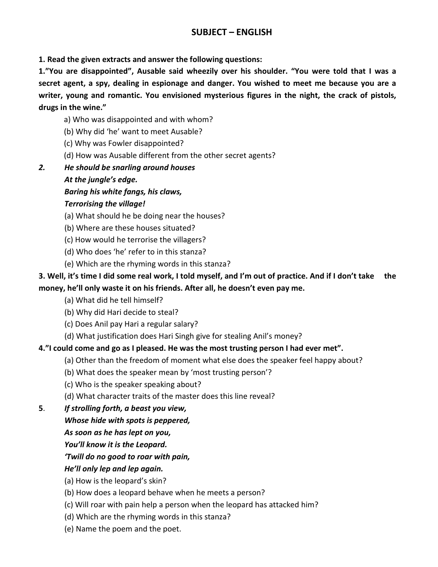## **SUBJECT - ENGLISH**

1. Read the given extracts and answer the following questions:

1."You are disappointed", Ausable said wheezily over his shoulder. "You were told that I was a secret agent, a spy, dealing in espionage and danger. You wished to meet me because you are a writer, young and romantic. You envisioned mysterious figures in the night, the crack of pistols, drugs in the wine."

- a) Who was disappointed and with whom?
- (b) Why did 'he' want to meet Ausable?
- (c) Why was Fowler disappointed?
- (d) How was Ausable different from the other secret agents?
- $2.$ He should be snarling around houses
	- At the jungle's edge.
	- Baring his white fangs, his claws,

#### **Terrorising the village!**

- (a) What should he be doing near the houses?
- (b) Where are these houses situated?
- (c) How would he terrorise the villagers?
- (d) Who does 'he' refer to in this stanza?
- (e) Which are the rhyming words in this stanza?

#### 3. Well, it's time I did some real work, I told myself, and I'm out of practice. And if I don't take the money, he'll only waste it on his friends. After all, he doesn't even pay me.

- (a) What did he tell himself?
- (b) Why did Hari decide to steal?
- (c) Does Anil pay Hari a regular salary?
- (d) What justification does Hari Singh give for stealing Anil's money?

#### 4."I could come and go as I pleased. He was the most trusting person I had ever met".

- (a) Other than the freedom of moment what else does the speaker feel happy about?
- (b) What does the speaker mean by 'most trusting person'?
- (c) Who is the speaker speaking about?
- (d) What character traits of the master does this line reveal?
- 5. If strolling forth, a beast you view,
	- Whose hide with spots is peppered,
	- As soon as he has lept on you,
	- You'll know it is the Leopard.

#### 'Twill do no good to roar with pain,

- He'll only lep and lep again.
- (a) How is the leopard's skin?
- (b) How does a leopard behave when he meets a person?
- (c) Will roar with pain help a person when the leopard has attacked him?
- (d) Which are the rhyming words in this stanza?
- (e) Name the poem and the poet.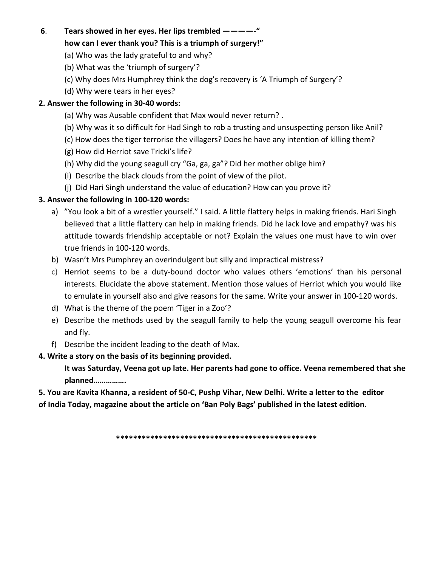#### 6. Tears showed in her eyes. Her lips trembled ------"

#### how can I ever thank you? This is a triumph of surgery!"

- (a) Who was the lady grateful to and why?
- (b) What was the 'triumph of surgery'?
- (c) Why does Mrs Humphrey think the dog's recovery is 'A Triumph of Surgery'?
- (d) Why were tears in her eyes?

## 2. Answer the following in 30-40 words:

- (a) Why was Ausable confident that Max would never return?.
- (b) Why was it so difficult for Had Singh to rob a trusting and unsuspecting person like Anil?
- (c) How does the tiger terrorise the villagers? Does he have any intention of killing them?
- (g) How did Herriot save Tricki's life?
- (h) Why did the young seagull cry "Ga, ga, ga"? Did her mother oblige him?
- (i) Describe the black clouds from the point of view of the pilot.
- (j) Did Hari Singh understand the value of education? How can you prove it?

### 3. Answer the following in 100-120 words:

- a) "You look a bit of a wrestler yourself." I said. A little flattery helps in making friends. Hari Singh believed that a little flattery can help in making friends. Did he lack love and empathy? was his attitude towards friendship acceptable or not? Explain the values one must have to win over true friends in 100-120 words.
- b) Wasn't Mrs Pumphrey an overindulgent but silly and impractical mistress?
- c) Herriot seems to be a duty-bound doctor who values others 'emotions' than his personal interests. Elucidate the above statement. Mention those values of Herriot which you would like to emulate in yourself also and give reasons for the same. Write your answer in 100-120 words.
- d) What is the theme of the poem 'Tiger in a Zoo'?
- e) Describe the methods used by the seagull family to help the young seagull overcome his fear and fly.
- f) Describe the incident leading to the death of Max.
- 4. Write a story on the basis of its beginning provided.

It was Saturday, Veena got up late. Her parents had gone to office. Veena remembered that she planned................

5. You are Kavita Khanna, a resident of 50-C, Pushp Vihar, New Delhi. Write a letter to the editor of India Today, magazine about the article on 'Ban Poly Bags' published in the latest edition.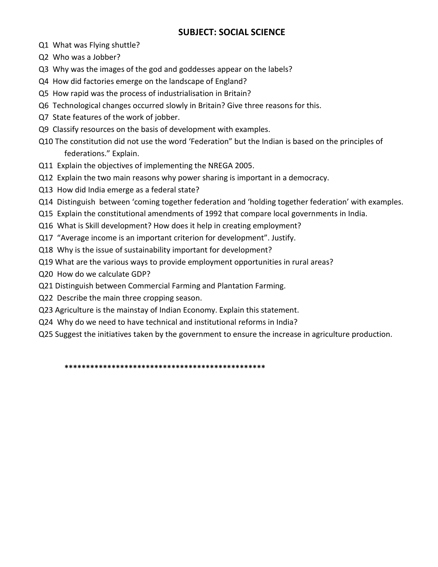## **SUBJECT: SOCIAL SCIENCE**

- Q1 What was Flying shuttle?
- Q2 Who was a Jobber?
- Q3 Why was the images of the god and goddesses appear on the labels?
- Q4 How did factories emerge on the landscape of England?
- Q5 How rapid was the process of industrialisation in Britain?
- Q6 Technological changes occurred slowly in Britain? Give three reasons for this.
- Q7 State features of the work of jobber.
- Q9 Classify resources on the basis of development with examples.
- Q10 The constitution did not use the word 'Federation" but the Indian is based on the principles of federations." Explain.
- Q11 Explain the objectives of implementing the NREGA 2005.
- Q12 Explain the two main reasons why power sharing is important in a democracy.
- Q13 How did India emerge as a federal state?
- Q14 Distinguish between 'coming together federation and 'holding together federation' with examples.
- Q15 Explain the constitutional amendments of 1992 that compare local governments in India.
- Q16 What is Skill development? How does it help in creating employment?
- Q17 "Average income is an important criterion for development". Justify.
- Q18 Why is the issue of sustainability important for development?
- Q19 What are the various ways to provide employment opportunities in rural areas?
- Q20 How do we calculate GDP?
- Q21 Distinguish between Commercial Farming and Plantation Farming.
- Q22 Describe the main three cropping season.
- Q23 Agriculture is the mainstay of Indian Economy. Explain this statement.
- Q24 Why do we need to have technical and institutional reforms in India?
- Q25 Suggest the initiatives taken by the government to ensure the increase in agriculture production.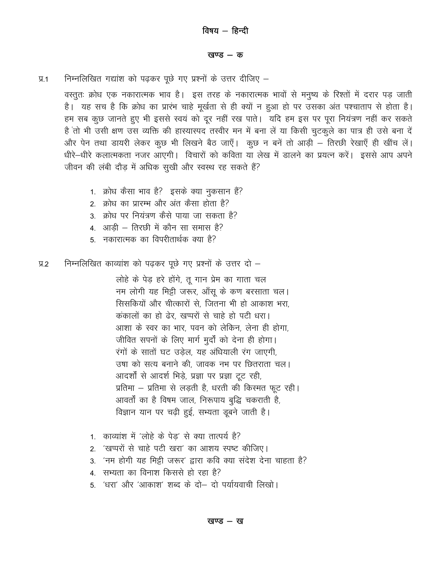#### खण्ड  $-$  क

निम्नलिखित गद्यांश को पढ़कर पूछे गए प्रश्नों के उत्तर दीजिए –  $\Psi$ .1

वस्तुतः क्रोध एक नकारात्मक भाव है। इस तरह के नकारात्मक भावों से मनुष्य के रिश्तों में दरार पड़ जाती है। यह सच है कि क्रोध का प्रारंभ चाहे मूर्खता से ही क्यों न हुआ हो पर उसका अंत पश्चाताप से होता है। हम सब कूछ जानते हुए भी इससे स्वयं को दूर नहीं रख पाते। यदि हम इस पर पूरा नियंत्रण नहीं कर सकते है तो भी उसी क्षण उस व्यक्ति की हास्यास्पद तस्वीर मन में बना लें या किसी चुटकूले का पात्र ही उसे बना दें और पेन तथा डायरी लेकर कुछ भी लिखने बैठ जाएँ। कुछ न बनें तो आडी – तिरछी रेखाएँ ही खींच लें। धीरे—धीरे कलात्मकता नजर आएगी। विचारों को कविता या लेख में डालने का प्रयत्न करें। इससे आप अपने जीवन की लंबी दौड़ में अधिक सुखी और स्वस्थ रह सकते हैं?

- 1. क्रोध कैसा भाव है? इसके क्या नुकसान हैं?
- 2. क्रोध का प्रारम्भ और अंत कैसा होता है?
- 3. क्रोध पर नियंत्रण कैसे पाया जा सकता है?
- 4. आड़ी तिरछी में कौन सा समास है?
- 5. नकारात्मक का विपरीतार्थक क्या है?

निम्नलिखित काव्यांश को पढकर पूछे गए प्रश्नों के उत्तर दो –  $9.2$ 

> लोहे के पेड़ हरे होंगे, तू गान प्रेम का गाता चल नम लोगी यह मिट्टी जरूर, आँसू के कण बरसाता चल। सिसकियों और चीत्कारों से, जितना भी हो आकाश भरा, कंकालों का हो ढेर, खप्परों से चाहे हो पटी धरा। आशा के स्वर का भार, पवन को लेकिन, लेना ही होगा, जीवित सपनों के लिए मार्ग मुर्दों को देना ही होगा। रंगों के सातों घट उडेल, यह अंधियाली रंग जाएगी, उषा को सत्य बनाने की, जावक नभ पर छितराता चल। आदर्शों से आदर्श भिड़े, प्रज्ञा पर प्रज्ञा टूट रही, प्रतिमा - प्रतिमा से लड़ती है, धरती की किस्मत फूट रही। आवर्तों का है विषम जाल, निरूपाय बुद्धि चकराती है, विज्ञान यान पर चढ़ी हुई, सभ्यता डूबने जाती है।

- 1. काव्यांश में 'लोहे के पेड' से क्या तात्पर्य है?
- 2. 'खप्परों से चाहे पटी खरा' का आशय स्पष्ट कीजिए।
- 3. 'नम होगी यह मिट्टी जरूर' द्वारा कवि क्या संदेश देना चाहता है?
- 4. सभ्यता का विनाश किससे हो रहा है?
- 5. 'धरा' और 'आकाश' शब्द के दो— दो पर्यायवाची लिखो।